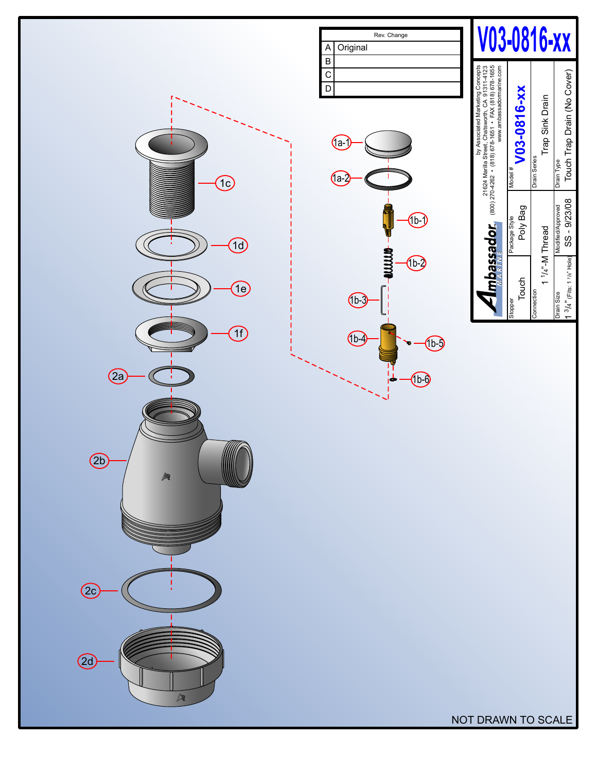